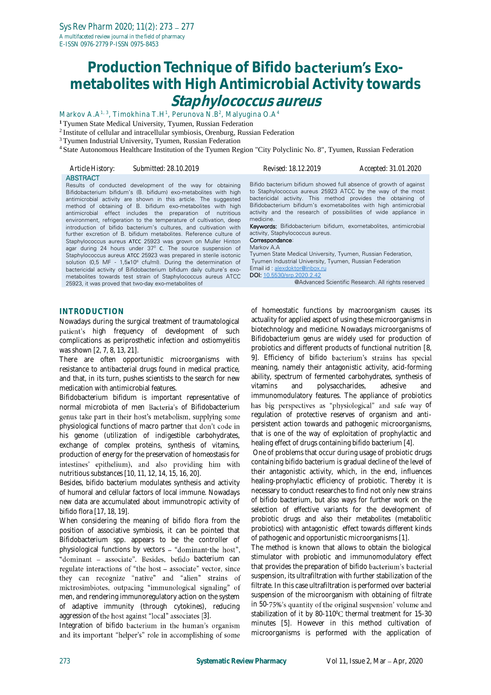# **Production Technique of Bifido <b>bacterium's Exometabolites with High Antimicrobial Activity towards Staphylococcus aureus**

Markov A.A<sup>1, 3</sup>, Timokhina T.H<sup>1</sup>, Perunova N.B<sup>2</sup>, Malyugina O.A<sup>4</sup> **<sup>1</sup>** Tyumen State Medical University, Tyumen, Russian Federation

<sup>2</sup>Institute of cellular and intracellular symbiosis, Orenburg, Russian Federation

<sup>3</sup>Tyumen Industrial University, Tyumen, Russian Federation

introduction of bifido bacterium's cultures, and cultivation with further excretion of B. bifidum metabolites. Reference culture of Staphylococcus aureus АТСС 25923 was grown on Muller Hinton agar during 24 hours under 37<sup>0</sup> C. The source suspension of Staphylococcus aureus ATCC 25923 was prepared in sterile isotonic solution (0.5 MF - 1.5x10<sup>8</sup> cfu/ml). During the determination of bactericidal activity of Bifidobacterium bifidum daily culture's exometabolites towards test strain of Staphylococcus aureus ATCC

<sup>4</sup>State Autonomous Healthcare Institution of the Tyumen Region "City Polyclinic No. 8", Tyumen, Russian Federation

| Article History: | Submitted: 28.10.2019                                                                                                                                                                                                                                                                                                                                                                                | Revised: 18.12.2019                                                                                                                                                                                                                                                                                                                                 | Accepted: 31.01.2020 |
|------------------|------------------------------------------------------------------------------------------------------------------------------------------------------------------------------------------------------------------------------------------------------------------------------------------------------------------------------------------------------------------------------------------------------|-----------------------------------------------------------------------------------------------------------------------------------------------------------------------------------------------------------------------------------------------------------------------------------------------------------------------------------------------------|----------------------|
| <b>ABSTRACT</b>  | Results of conducted development of the way for obtaining<br>Bifidobacterium bifidum's (B. bifidum) exo-metabolites with high<br>antimicrobial activity are shown in this article. The suggested<br>method of obtaining of B. bifidum exo-metabolites with high<br>antimicrobial effect includes the preparation of nutritious<br>environment, refrigeration to the temperature of cultivation, deep | Bifido bacterium bifidum showed full absence of growth of against<br>to Staphylococcus aureus 25923 ATCC by the way of the most<br>bactericidal activity. This method provides the obtaining of<br>Bifidobacterium bifidum's exometabolites with high antimicrobial<br>activity and the research of possibilities of wide appliance in<br>medicine. |                      |

Keywords: Bifidobacterium bifidum, exometabolites, antimicrobial activity, Staphylococcus aureus.

# Correspondance:

Markov A.A Tyumen State Medical University, Tyumen, Russian Federation, Tyumen Industrial University, Tyumen, Russian Federation Email id : [alexdoktor@inbox.ru](mailto:alexdoktor@inbox.ru)  DOI[: 10.5530/srp.2020.2.42](http://dx.doi.org/10.5530/srp.2019.2.04) @Advanced Scientific Research. All rights reserved

#### **INTRODUCTION**

Nowadays during the surgical treatment of traumatological patient's high frequency of development of such complications as periprosthetic infection and ostiomyelitis was shown [2, 7, 8, 13, 21].

25923, it was proved that two-day exo-metabolites of

There are often opportunistic microorganisms with resistance to antibacterial drugs found in medical practice, and that, in its turn, pushes scientists to the search for new medication with antimicrobial features.

Bifidobacterium bifidum is important representative of normal microbiota of men Bacteria's of Bifidobacterium genus take part in their host's metabolism, supplying some physiological functions of macro partner that don't code in his genome (utilization of indigestible carbohydrates, exchange of complex proteins, synthesis of vitamins, production of energy for the preservation of homeostasis for intestines' epithelium), and also providing him with nutritious substances [10, 11, 12, 14, 15, 16, 20].

Besides, bifido bacterium modulates synthesis and activity of humoral and cellular factors of local immune. Nowadays new data are accumulated about immunotropic activity of bifido flora [17, 18, 19].

When considering the meaning of bifido flora from the position of associative symbiosis, it can be pointed that Bifidobacterium spp. appears to be the controller of physiological functions by vectors  $-$  "dominant-the host", "dominant - associate". Besides, befido bacterium can regulate interactions of "the host - associate" vector, since they can recognize "native" and "alien" strains of mictrosimbiotes, outpacing "immunological signaling" of men, and rendering immunoregulatory action on the system of adaptive immunity (through cytokines), reducing aggression of the host against "local" associates [3].

Integration of bifido bacterium in the human's organism and its important "helper's" role in accomplishing of some of homeostatic functions by macroorganism causes its actuality for applied aspect of using these microorganisms in biotechnology and medicine. Nowadays microorganisms of Bifidobacterium genus are widely used for production of probiotics and different products of functional nutrition [8, 9]. Efficiency of bifido bacterium's strains has special meaning, namely their antagonistic activity, acid-forming ability, spectrum of fermented carbohydrates, synthesis of vitamins and polysaccharides, adhesive and immunomodulatory features. The appliance of probiotics has big perspectives as "physiological" and safe way of regulation of protective reserves of organism and antipersistent action towards and pathogenic microorganisms, that is one of the way of exploitation of prophylactic and healing effect of drugs containing bifido bacterium [4].

One of problems that occur during usage of probiotic drugs containing bifido bacterium is gradual decline of the level of their antagonistic activity, which, in the end, influences healing-prophylactic efficiency of probiotic. Thereby it is necessary to conduct researches to find not only new strains of bifido bacterium, but also ways for further work on the selection of effective variants for the development of probiotic drugs and also their metabolites (metabolitic probiotics) with antagonistic effect towards different kinds of pathogenic and opportunistic microorganisms [1].

The method is known that allows to obtain the biological stimulator with probiotic and immunomodulatory effect that provides the preparation of bifido bacterium's bacterial suspension, its ultrafiltration with further stabilization of the filtrate. In this case ultrafiltration is performed over bacterial suspension of the microorganism with obtaining of filtrate in 50-75%'s quantity of the original suspension' volume and stabilization of it by 80-110 $\degree$ C thermal treatment for 15-30 minutes [5]. However in this method cultivation of microorganisms is performed with the application of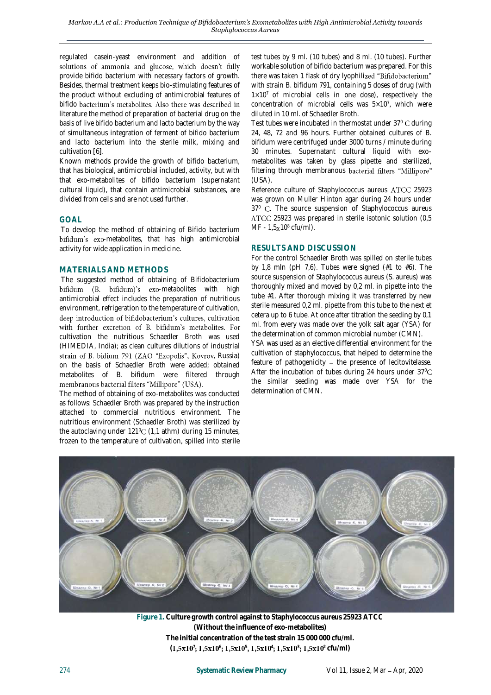regulated casein-yeast environment and addition of solutions of ammonia and glucose, which doesn't fully provide bifido bacterium with necessary factors of growth. Besides, thermal treatment keeps bio-stimulating features of the product without excluding of antimicrobial features of bifido bacterium's metabolites. Also there was described in literature the method of preparation of bacterial drug on the basis of live bifido bacterium and lacto bacterium by the way of simultaneous integration of ferment of bifido bacterium and lacto bacterium into the sterile milk, mixing and cultivation [6].

Known methods provide the growth of bifido bacterium, that has biological, antimicrobial included, activity, but with that exo-metabolites of bifido bacterium (supernatant cultural liquid), that contain antimicrobial substances, are divided from cells and are not used further.

# **GOAL**

To develop the method of obtaining of Bifido bacterium bifidum's exo-metabolites, that has high antimicrobial activity for wide application in medicine.

#### **MATERIALS AND METHODS**

The suggested method of obtaining of Bifidobacterium bifidum (B. bifidum)'s exo-metabolites with high antimicrobial effect includes the preparation of nutritious environment, refrigeration to the temperature of cultivation, deep introduction of bifidobacterium's cultures, cultivation with further excretion of B. bifidum's metabolites. For cultivation the nutritious Schaedler Broth was used (HIMEDIA, India); as clean cultures dilutions of industrial strain of B. bidium 791 (ZAO "Exopolis", Kovrov, Russia) on the basis of Schaedler Broth were added; obtained metabolites of B. bifidum were filtered through membranous bacterial filters "Millipore" (USA).

The method of obtaining of exo-metabolites was conducted as follows: Schaedler Broth was prepared by the instruction attached to commercial nutritious environment. The nutritious environment (Schaedler Broth) was sterilized by the autoclaving under  $121^{\circ}$ C (1,1 athm) during 15 minutes, frozen to the temperature of cultivation, spilled into sterile

test tubes by 9 ml. (10 tubes) and 8 ml. (10 tubes). Further workable solution of bifido bacterium was prepared. For this there was taken 1 flask of dry lyophilized "Bifidobacterium" with strain B. bifidum 791, containing 5 doses of drug (with  $1\times10^7$  of microbial cells in one dose), respectively the concentration of microbial cells was  $5\times10^7$ , which were diluted in 10 ml. of Schaedler Broth.

Test tubes were incubated in thermostat under 37°C during 24, 48, 72 and 96 hours. Further obtained cultures of B. bifidum were centrifuged under 3000 turns / minute during 30 minutes. Supernatant cultural liquid with exometabolites was taken by glass pipette and sterilized, filtering through membranous bacterial filters "Millipore" (USA).

Reference culture of Staphylococcus aureus ATCC 25923 was grown on Muller Hinton agar during 24 hours under 37<sup>0</sup> . The source suspension of Staphylococcus aureus 25923 was prepared in sterile isotonic solution (0,5  $MF - 1,5x10^8 \text{ cftt/ml}$ .

# **RESULTS AND DISCUSSION**

For the control Schaedler Broth was spilled on sterile tubes by 1,8 mln (pH 7,6). Tubes were signed  $(#1$  to  $#6)$ . The source suspension of Staphylococcus aureus (S. aureus) was thoroughly mixed and moved by 0,2 ml. in pipette into the tube #1. After thorough mixing it was transferred by new sterile measured 0,2 ml. pipette from this tube to the next et cetera up to 6 tube. At once after titration the seeding by 0,1 ml. from every was made over the yolk salt agar (YSA) for the determination of common microbial number (CMN). YSA was used as an elective differential environment for the cultivation of staphylococcus, that helped to determine the

feature of pathogenicity  $-$  the presence of lecitovitelasse. After the incubation of tubes during 24 hours under  $37^{\circ}$ C the similar seeding was made over YSA for the determination of CMN.



**Figure 1. Culture growth control against to Staphylococcus aureus 25923 ATCC (Without the influence of exo-metabolites) The initial concentration of the test strain 15 000 000 cfu/ml.**   $(1,5x10^7; 1,5x10^6; 1,5x10^5, 1,5x10^4; 1,5x10^3; 1,5x10^2$  cfu/ml)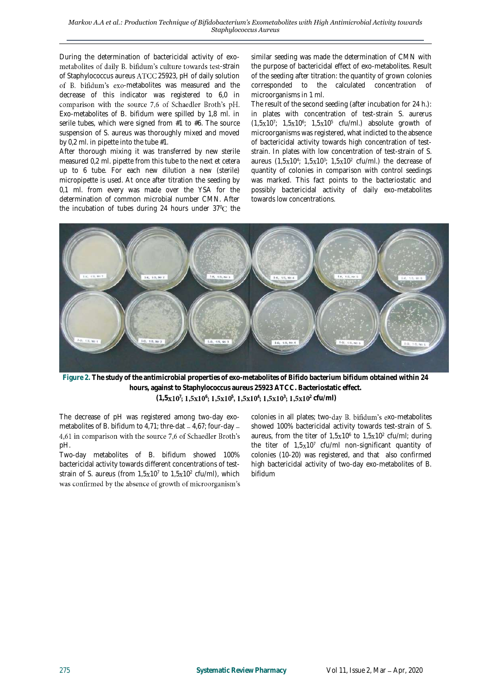During the determination of bactericidal activity of exo metabolites of daily B. bifidum's culture towards test-strain of Staphylococcus aureus ATCC 25923, pH of daily solution of B. bifidum's exo-metabolites was measured and the decrease of this indicator was registered to 6,0 in comparison with the source 7,6 of Schaedler Broth's pH. Exo-metabolites of B. bifidum were spilled by 1,8 ml. in serile tubes, which were signed from #1 to #6. The source suspension of S. aureus was thoroughly mixed and moved by 0,2 ml. in pipette into the tube #1.

After thorough mixing it was transferred by new sterile measured 0,2 ml. pipette from this tube to the next et cetera up to 6 tube. For each new dilution a new (sterile) micropipette is used. At once after titration the seeding by 0,1 ml. from every was made over the YSA for the determination of common microbial number CMN. After the incubation of tubes during 24 hours under  $37^{\circ}$ C the similar seeding was made the determination of CMN with the purpose of bactericidal effect of exo-metabolites. Result of the seeding after titration: the quantity of grown colonies corresponded to the calculated concentration of microorganisms in 1 ml.

The result of the second seeding (after incubation for 24 h.): in plates with concentration of test-strain S. aurerus  $(1,5x10^7; 1,5x10^6; 1,5x10^5$  cfu/ml.) absolute growth of microorganisms was registered, what indicted to the absence of bactericidal activity towards high concentration of teststrain. In plates with low concentration of test-strain of S. aureus  $(1, 5x10^4; 1, 5x10^3; 1, 5x10^2 \text{ cfu/ml.})$  the decrease of quantity of colonies in comparison with control seedings was marked. This fact points to the bacteriostatic and possibly bactericidal activity of daily exo-metabolites towards low concentrations.



**Figure 2. The study of the antimicrobial properties of exo-metabolites of Bifido bacterium bifidum obtained within 24 hours, against to Staphylococcus aureus 25923 ATCC. Bacteriostatic effect. (1,5 <sup>7</sup> <sup>6</sup> <sup>5</sup> <sup>4</sup> <sup>3</sup> <sup>2</sup> cfu/ml)**

The decrease of pH was registered among two-day exometabolites of B. bifidum to 4,71; thre-dat  $-$  4,67; four-day  $-$ 4,61 in comparison with the source 7,6 of Schaedler Broth's pH.

Two-day metabolites of B. bifidum showed 100% bactericidal activity towards different concentrations of teststrain of S. aureus (from  $1,5x10^7$  to  $1,5x10^2$  cfu/ml), which was confirmed by the absence of growth of microorganism's colonies in all plates; two-day B. bifidum's exo-metabolites showed 100% bactericidal activity towards test-strain of S. aureus, from the titer of  $1,5x10^6$  to  $1,5x10^2$  cfu/ml; during the titer of  $1,5x10<sup>7</sup>$  cfu/ml non-significant quantity of colonies (10-20) was registered, and that also confirmed high bactericidal activity of two-day exo-metabolites of B. bifidum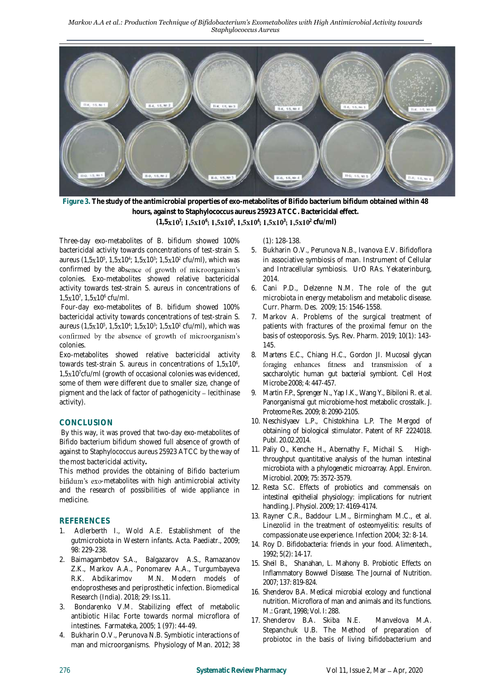*Markov A.A et al.: Production Technique of Bifidobacterium's Exometabolites with High Antimicrobial Activity towards Staphylococcus Aureus*



**Figure 3. The study of the antimicrobial properties of exo-metabolites of Bifido bacterium bifidum obtained within 48 hours, against to Staphylococcus aureus 25923 ATCC. Bactericidal effect.** 

**(1,5 <sup>7</sup> <sup>6</sup> <sup>5</sup> <sup>4</sup> <sup>3</sup> <sup>2</sup> cfu/ml)**

Three-day exo-metabolites of B. bifidum showed 100% bactericidal activity towards concentrations of test-strain S. aureus (1,5x10<sup>5</sup>, 1,5x10<sup>4</sup>; 1,5x10<sup>3</sup>; 1,5x10<sup>2</sup> cfu/ml), which was confirmed by the absence of growth of microorganism's colonies. Exo-metabolites showed relative bactericidal activity towards test-strain S. aureus in concentrations of  $1, 5x10^7, 1, 5x10^6$  cfu/ml.

Four-day exo-metabolites of B. bifidum showed 100% bactericidal activity towards concentrations of test-strain S. aureus (1,5x10<sup>5</sup>, 1,5x10<sup>4</sup>; 1,5x10<sup>3</sup>; 1,5x10<sup>2</sup> cfu/ml), which was confirmed by the absence of growth of microorganism's colonies.

Exo-metabolites showed relative bactericidal activity towards test-strain S. aureus in concentrations of  $1,5x10^6$ , 1,5x10<sup>7</sup>cfu/ml (growth of occasional colonies was evidenced, some of them were different due to smaller size, change of pigment and the lack of factor of pathogenicity - lecithinase activity).

# **CONCLUSION**

By this way, it was proved that two-day exo-metabolites of Bifido bacterium bifidum showed full absence of growth of against to Staphylococcus aureus 25923 ATCC by the way of the most bactericidal activity**.** 

This method provides the obtaining of Bifido bacterium bifidum's exo-metabolites with high antimicrobial activity and the research of possibilities of wide appliance in medicine.

# **REFERENCES**

- 1. Adlerberth I., Wold A.E. Establishment of the gutmicrobiota in Western infants. Acta. Paediatr., 2009; 98: 229-238.
- 2. Baimagambetov S.A., Balgazarov A.S., Ramazanov Z.K., Markov A.A., Ponomarev A.A., Turgumbayeva R.K. Abdikarimov M.N. Modern models of endoprostheses and periprosthetic infection. Biomedical Research (India). 2018; 29: Iss.11.
- 3. Bondarenko V.M. Stabilizing effect of metabolic antibiotic Hilac Forte towards normal microflora of intestines. Farmateka, 2005; 1 (97): 44-49.
- 4. Bukharin O.V., Perunova N.B. Symbiotic interactions of man and microorganisms. Physiology of Man. 2012; 38

(1): 128-138.

- 5. Bukharin O.V., Perunova N.B., Ivanova E.V. Bifidoflora in associative symbiosis of man. Instrument of Cellular and Intracellular symbiosis. UrO RAs. Yekaterinburg, 2014.
- 6. Cani P.D., Delzenne N.M. The role of the gut microbiota in energy metabolism and metabolic disease. Curr. Pharm. Des. 2009; 15: 1546-1558.
- 7. Markov A. Problems of the surgical treatment of patients with fractures of the proximal femur on the basis of osteoporosis. Sys. Rev. Pharm. 2019; 10(1): 143- 145.
- 8. Martens E.C., Chiang H.C., Gordon JI. Mucosal glycan foraging enhances fitness and transmission of a saccharolytic human gut bacterial symbiont. Cell Host Microbe 2008; 4: 447-457.
- 9. Martin F.P., Sprenger N., Yap I.K., Wang Y., Bibiloni R. et al. Panorganismal gut microbiome-host metabolic crosstalk. J. Proteome Res. 2009; 8: 2090-2105.
- 10. Neschislyaev L.P., Chistokhina L.P. The Mergod of obtaining of biological stimulator. Patent of RF 2224018. Publ. 20.02.2014.
- 11. Paliy O., Kenche H., Abernathy F., Michail S. Highthroughput quantitative analysis of the human intestinal microbiota with a phylogenetic microarray. Appl. Environ. Microbiol. 2009; 75: 3572-3579.
- 12. Resta S.C. Effects of probiotics and commensals on intestinal epithelial physiology: implications for nutrient handling. J. Physiol. 2009; 17: 4169-4174.
- 13. Rayner C.R., Baddour L.M., Birmingham M.C., et al. Linezolid in the treatment of osteomyelitis: results of compassionate use experience. Infection 2004; 32: 8-14.
- 14. Roy D. Bifidobacteria: friends in your food. Alimentech., 1992; 5(2): 14-17.
- 15. Sheil B., Shanahan, L. Mahony B. Probiotic Effects on Inflammatory Bowwel Disease. The Journal of Nutrition. 2007; 137: 819-824.
- 16. Shenderov B.A. Medical microbial ecology and functional nutrition. Microflora of man and animals and its functions. M.: Grant, 1998; Vol. I: 288.
- 17. Shenderov B.A. Skiba N.E. Manvelova M.A. Stepanchuk U.B. The Method of preparation of probiotoc in the basis of living bifidobacterium and